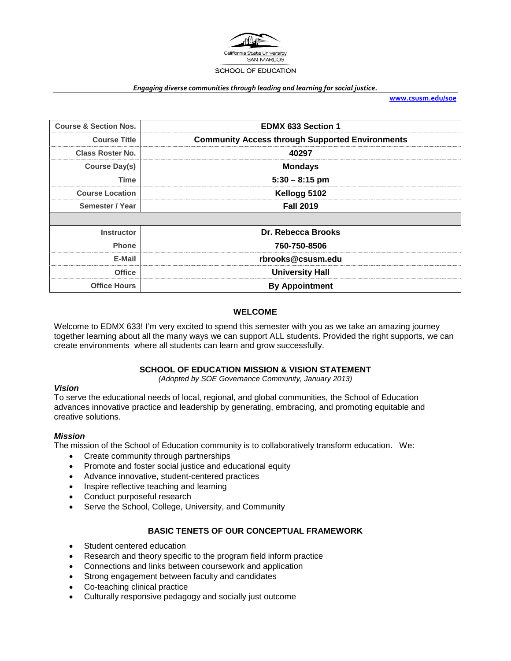

#### *Engaging diverse communities through leading and learning for social justice.*

**[www.csusm.edu/soe](http://www.csusm.edu/soe)**

| <b>Course &amp; Section Nos.</b> | <b>EDMX 633 Section 1</b>                              |
|----------------------------------|--------------------------------------------------------|
| <b>Course Title</b>              | <b>Community Access through Supported Environments</b> |
| Class Roster No.                 | 40297                                                  |
| <b>Course Day(s)</b>             | <b>Mondays</b>                                         |
| Time                             | $5:30 - 8:15$ pm                                       |
| <b>Course Location</b>           | Kellogg 5102                                           |
| Semester / Year                  | <b>Fall 2019</b>                                       |
|                                  |                                                        |
| <b>Instructor</b>                | Dr. Rebecca Brooks                                     |
| <b>Phone</b>                     | 760-750-8506                                           |
| E-Mail                           | rbrooks@csusm.edu                                      |
| <b>Office</b>                    | <b>University Hall</b>                                 |
| <b>Office Hours</b>              | <b>By Appointment</b>                                  |

## **WELCOME**

Welcome to EDMX 633! I'm very excited to spend this semester with you as we take an amazing journey together learning about all the many ways we can support ALL students. Provided the right supports, we can create environments where all students can learn and grow successfully.

## **SCHOOL OF EDUCATION MISSION & VISION STATEMENT**

*(Adopted by SOE Governance Community, January 2013)*

### *Vision*

To serve the educational needs of local, regional, and global communities, the School of Education advances innovative practice and leadership by generating, embracing, and promoting equitable and creative solutions.

### *Mission*

The mission of the School of Education community is to collaboratively transform education. We:

- Create community through partnerships
- Promote and foster social justice and educational equity
- Advance innovative, student-centered practices
- Inspire reflective teaching and learning
- Conduct purposeful research
- Serve the School, College, University, and Community

### **BASIC TENETS OF OUR CONCEPTUAL FRAMEWORK**

- Student centered education
- Research and theory specific to the program field inform practice
- Connections and links between coursework and application
- Strong engagement between faculty and candidates
- Co-teaching clinical practice
- Culturally responsive pedagogy and socially just outcome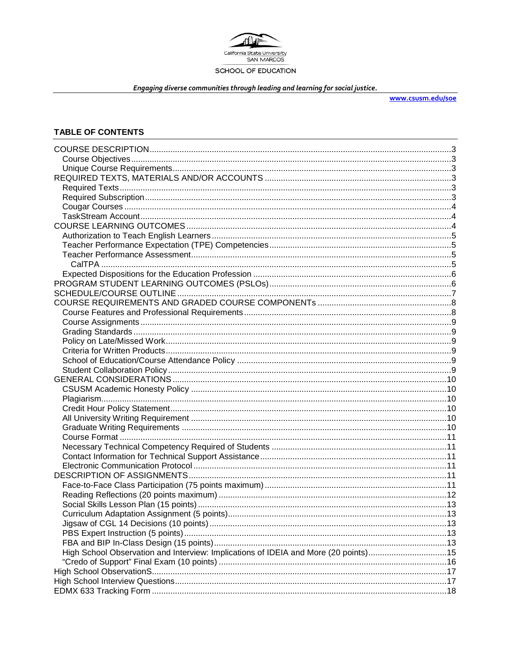

Engaging diverse communities through leading and learning for social justice.

www.csusm.edu/soe

## **TABLE OF CONTENTS**

| High School Observation and Interview: Implications of IDEIA and More (20 points)15 |  |
|-------------------------------------------------------------------------------------|--|
|                                                                                     |  |
|                                                                                     |  |
|                                                                                     |  |
|                                                                                     |  |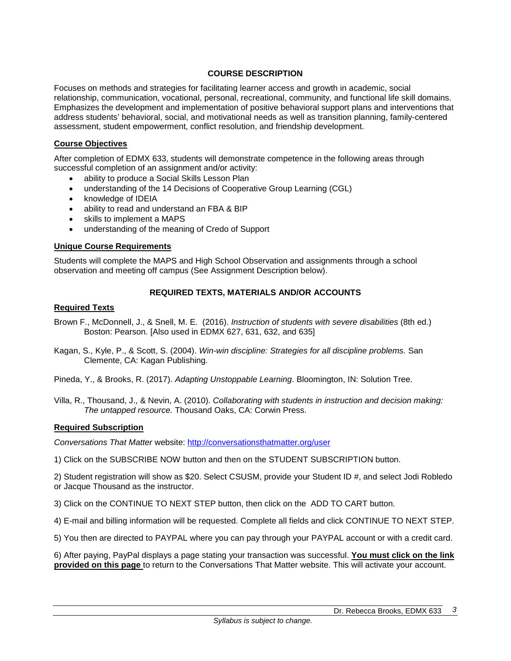# **COURSE DESCRIPTION**

Focuses on methods and strategies for facilitating learner access and growth in academic, social relationship, communication, vocational, personal, recreational, community, and functional life skill domains. Emphasizes the development and implementation of positive behavioral support plans and interventions that address students' behavioral, social, and motivational needs as well as transition planning, family-centered assessment, student empowerment, conflict resolution, and friendship development.

## **Course Objectives**

After completion of EDMX 633, students will demonstrate competence in the following areas through successful completion of an assignment and/or activity:

- ability to produce a Social Skills Lesson Plan
- understanding of the 14 Decisions of Cooperative Group Learning (CGL)
- knowledge of IDEIA
- ability to read and understand an FBA & BIP
- skills to implement a MAPS
- understanding of the meaning of Credo of Support

## **Unique Course Requirements**

Students will complete the MAPS and High School Observation and assignments through a school observation and meeting off campus (See Assignment Description below).

## **REQUIRED TEXTS, MATERIALS AND/OR ACCOUNTS**

# **Required Texts**

- Brown F., McDonnell, J., & Snell, M. E. (2016). *Instruction of students with severe disabilities* (8th ed.) Boston: Pearson. [Also used in EDMX 627, 631, 632, and 635]
- Kagan, S., Kyle, P., & Scott, S. (2004). *Win-win discipline: Strategies for all discipline problems.* San Clemente, CA: Kagan Publishing.
- Pineda, Y., & Brooks, R. (2017). *Adapting Unstoppable Learning*. Bloomington, IN: Solution Tree.
- Villa, R., Thousand, J., & Nevin, A. (2010). *Collaborating with students in instruction and decision making: The untapped resource.* Thousand Oaks, CA: Corwin Press.

## **Required Subscription**

*Conversations That Matter* website:<http://conversationsthatmatter.org/user>

1) Click on the SUBSCRIBE NOW button and then on the STUDENT SUBSCRIPTION button.

2) Student registration will show as \$20. Select CSUSM, provide your Student ID #, and select Jodi Robledo or Jacque Thousand as the instructor.

- 3) Click on the CONTINUE TO NEXT STEP button, then click on the ADD TO CART button.
- 4) E-mail and billing information will be requested. Complete all fields and click CONTINUE TO NEXT STEP.
- 5) You then are directed to PAYPAL where you can pay through your PAYPAL account or with a credit card.

6) After paying, PayPal displays a page stating your transaction was successful. **You must click on the link provided on this page** to return to the Conversations That Matter website. This will activate your account.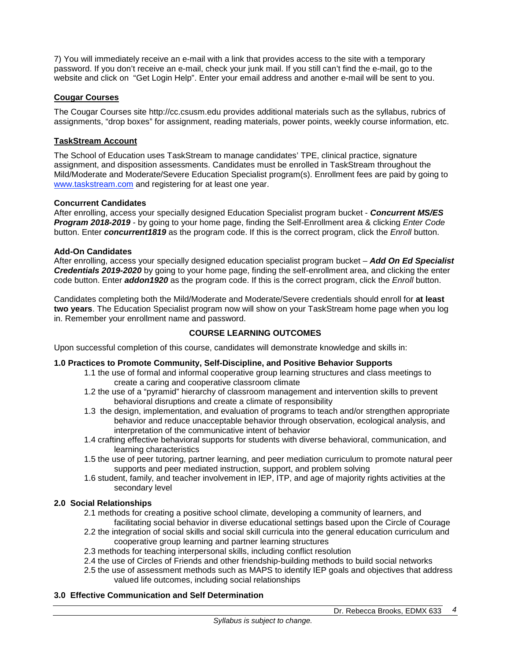7) You will immediately receive an e-mail with a link that provides access to the site with a temporary password. If you don't receive an e-mail, check your junk mail. If you still can't find the e-mail, go to the website and click on "Get Login Help". Enter your email address and another e-mail will be sent to you.

## **Cougar Courses**

The Cougar Courses site http://cc.csusm.edu provides additional materials such as the syllabus, rubrics of assignments, "drop boxes" for assignment, reading materials, power points, weekly course information, etc.

## **TaskStream Account**

The School of Education uses TaskStream to manage candidates' TPE, clinical practice, signature assignment, and disposition assessments. Candidates must be enrolled in TaskStream throughout the Mild/Moderate and Moderate/Severe Education Specialist program(s). Enrollment fees are paid by going to [www.taskstream.com](http://www.taskstrem.com/) and registering for at least one year.

## **Concurrent Candidates**

After enrolling, access your specially designed Education Specialist program bucket - *Concurrent MS/ES Program 2018-2019* - by going to your home page, finding the Self-Enrollment area & clicking *Enter Code* button. Enter *concurrent1819* as the program code. If this is the correct program, click the *Enroll* button.

### **Add-On Candidates**

After enrolling, access your specially designed education specialist program bucket – *Add On Ed Specialist Credentials 2019-2020* by going to your home page, finding the self-enrollment area, and clicking the enter code button. Enter *addon1920* as the program code. If this is the correct program, click the *Enroll* button.

Candidates completing both the Mild/Moderate and Moderate/Severe credentials should enroll for **at least two years**. The Education Specialist program now will show on your TaskStream home page when you log in. Remember your enrollment name and password.

## **COURSE LEARNING OUTCOMES**

Upon successful completion of this course, candidates will demonstrate knowledge and skills in:

## **1.0 Practices to Promote Community, Self-Discipline, and Positive Behavior Supports**

- 1.1 the use of formal and informal cooperative group learning structures and class meetings to create a caring and cooperative classroom climate
- 1.2 the use of a "pyramid" hierarchy of classroom management and intervention skills to prevent behavioral disruptions and create a climate of responsibility
- 1.3 the design, implementation, and evaluation of programs to teach and/or strengthen appropriate behavior and reduce unacceptable behavior through observation, ecological analysis, and interpretation of the communicative intent of behavior
- 1.4 crafting effective behavioral supports for students with diverse behavioral, communication, and learning characteristics
- 1.5 the use of peer tutoring, partner learning, and peer mediation curriculum to promote natural peer supports and peer mediated instruction, support, and problem solving
- 1.6 student, family, and teacher involvement in IEP, ITP, and age of majority rights activities at the secondary level

## **2.0 Social Relationships**

- 2.1 methods for creating a positive school climate, developing a community of learners, and facilitating social behavior in diverse educational settings based upon the Circle of Courage
- 2.2 the integration of social skills and social skill curricula into the general education curriculum and cooperative group learning and partner learning structures
- 2.3 methods for teaching interpersonal skills, including conflict resolution
- 2.4 the use of Circles of Friends and other friendship-building methods to build social networks
- 2.5 the use of assessment methods such as MAPS to identify IEP goals and objectives that address valued life outcomes, including social relationships

## **3.0 Effective Communication and Self Determination**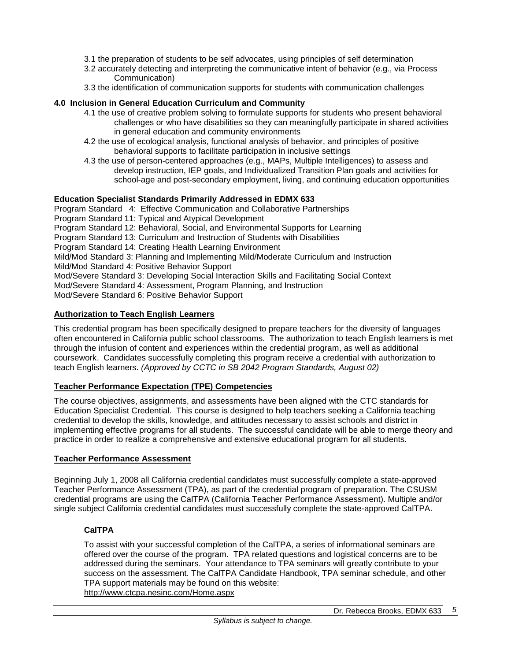- 3.1 the preparation of students to be self advocates, using principles of self determination
- 3.2 accurately detecting and interpreting the communicative intent of behavior (e.g., via Process Communication)
- 3.3 the identification of communication supports for students with communication challenges

## **4.0 Inclusion in General Education Curriculum and Community**

- 4.1 the use of creative problem solving to formulate supports for students who present behavioral challenges or who have disabilities so they can meaningfully participate in shared activities in general education and community environments
- 4.2 the use of ecological analysis, functional analysis of behavior, and principles of positive behavioral supports to facilitate participation in inclusive settings
- 4.3 the use of person-centered approaches (e.g., MAPs, Multiple Intelligences) to assess and develop instruction, IEP goals, and Individualized Transition Plan goals and activities for school-age and post-secondary employment, living, and continuing education opportunities

## **Education Specialist Standards Primarily Addressed in EDMX 633**

Program Standard 4: Effective Communication and Collaborative Partnerships Program Standard 11: Typical and Atypical Development Program Standard 12: Behavioral, Social, and Environmental Supports for Learning Program Standard 13: Curriculum and Instruction of Students with Disabilities Program Standard 14: Creating Health Learning Environment Mild/Mod Standard 3: Planning and Implementing Mild/Moderate Curriculum and Instruction Mild/Mod Standard 4: Positive Behavior Support Mod/Severe Standard 3: Developing Social Interaction Skills and Facilitating Social Context Mod/Severe Standard 4: Assessment, Program Planning, and Instruction Mod/Severe Standard 6: Positive Behavior Support

## **Authorization to Teach English Learners**

This credential program has been specifically designed to prepare teachers for the diversity of languages often encountered in California public school classrooms. The authorization to teach English learners is met through the infusion of content and experiences within the credential program, as well as additional coursework. Candidates successfully completing this program receive a credential with authorization to teach English learners. *(Approved by CCTC in SB 2042 Program Standards, August 02)*

### **Teacher Performance Expectation (TPE) Competencies**

The course objectives, assignments, and assessments have been aligned with the CTC standards for Education Specialist Credential. This course is designed to help teachers seeking a California teaching credential to develop the skills, knowledge, and attitudes necessary to assist schools and district in implementing effective programs for all students. The successful candidate will be able to merge theory and practice in order to realize a comprehensive and extensive educational program for all students.

### **Teacher Performance Assessment**

Beginning July 1, 2008 all California credential candidates must successfully complete a state-approved Teacher Performance Assessment (TPA), as part of the credential program of preparation. The CSUSM credential programs are using the CalTPA (California Teacher Performance Assessment). Multiple and/or single subject California credential candidates must successfully complete the state-approved CalTPA.

## **CalTPA**

To assist with your successful completion of the CalTPA, a series of informational seminars are offered over the course of the program. TPA related questions and logistical concerns are to be addressed during the seminars. Your attendance to TPA seminars will greatly contribute to your success on the assessment. The CalTPA Candidate Handbook, TPA seminar schedule, and other TPA support materials may be found on this website: <http://www.ctcpa.nesinc.com/Home.aspx>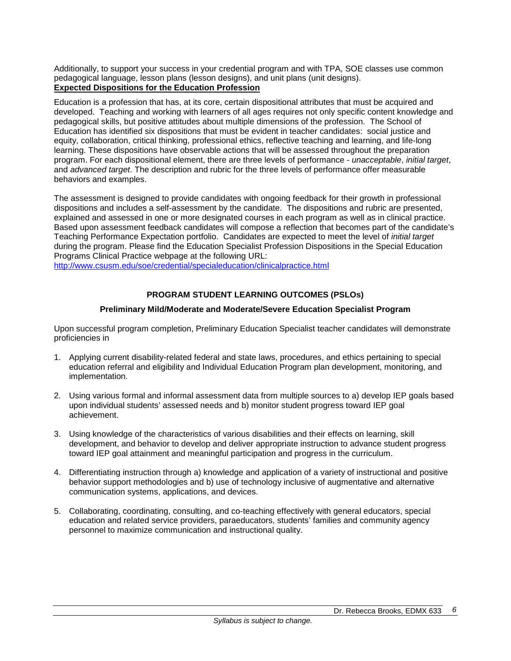Additionally, to support your success in your credential program and with TPA, SOE classes use common pedagogical language, lesson plans (lesson designs), and unit plans (unit designs). **Expected Dispositions for the Education Profession**

Education is a profession that has, at its core, certain dispositional attributes that must be acquired and developed. Teaching and working with learners of all ages requires not only specific content knowledge and pedagogical skills, but positive attitudes about multiple dimensions of the profession. The School of Education has identified six dispositions that must be evident in teacher candidates: social justice and equity, collaboration, critical thinking, professional ethics, reflective teaching and learning, and life-long learning. These dispositions have observable actions that will be assessed throughout the preparation program. For each dispositional element, there are three levels of performance - *unacceptable*, *initial target*, and *advanced target*. The description and rubric for the three levels of performance offer measurable behaviors and examples.

The assessment is designed to provide candidates with ongoing feedback for their growth in professional dispositions and includes a self-assessment by the candidate. The dispositions and rubric are presented, explained and assessed in one or more designated courses in each program as well as in clinical practice. Based upon assessment feedback candidates will compose a reflection that becomes part of the candidate's Teaching Performance Expectation portfolio. Candidates are expected to meet the level of *initial target* during the program. Please find the Education Specialist Profession Dispositions in the Special Education Programs Clinical Practice webpage at the following URL:

<http://www.csusm.edu/soe/credential/specialeducation/clinicalpractice.html>

# **PROGRAM STUDENT LEARNING OUTCOMES (PSLOs)**

## **Preliminary Mild/Moderate and Moderate/Severe Education Specialist Program**

Upon successful program completion, Preliminary Education Specialist teacher candidates will demonstrate proficiencies in

- 1. Applying current disability-related federal and state laws, procedures, and ethics pertaining to special education referral and eligibility and Individual Education Program plan development, monitoring, and implementation.
- 2. Using various formal and informal assessment data from multiple sources to a) develop IEP goals based upon individual students' assessed needs and b) monitor student progress toward IEP goal achievement.
- 3. Using knowledge of the characteristics of various disabilities and their effects on learning, skill development, and behavior to develop and deliver appropriate instruction to advance student progress toward IEP goal attainment and meaningful participation and progress in the curriculum.
- 4. Differentiating instruction through a) knowledge and application of a variety of instructional and positive behavior support methodologies and b) use of technology inclusive of augmentative and alternative communication systems, applications, and devices.
- 5. Collaborating, coordinating, consulting, and co-teaching effectively with general educators, special education and related service providers, paraeducators, students' families and community agency personnel to maximize communication and instructional quality.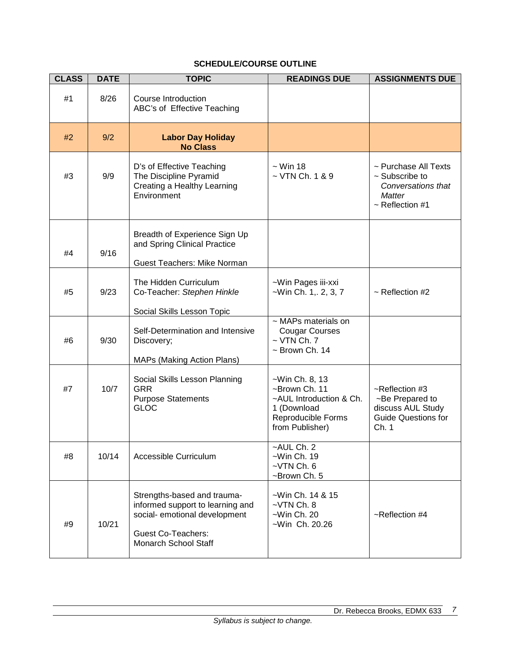| <b>CLASS</b> | <b>DATE</b> | <b>TOPIC</b>                                                                                                                                          | <b>READINGS DUE</b>                                                                                                | <b>ASSIGNMENTS DUE</b>                                                                                     |
|--------------|-------------|-------------------------------------------------------------------------------------------------------------------------------------------------------|--------------------------------------------------------------------------------------------------------------------|------------------------------------------------------------------------------------------------------------|
| #1           | 8/26        | <b>Course Introduction</b><br>ABC's of Effective Teaching                                                                                             |                                                                                                                    |                                                                                                            |
| #2           | 9/2         | <b>Labor Day Holiday</b><br><b>No Class</b>                                                                                                           |                                                                                                                    |                                                                                                            |
| #3           | 9/9         | D's of Effective Teaching<br>The Discipline Pyramid<br>Creating a Healthy Learning<br>Environment                                                     | $\sim$ Win 18<br>$\sim$ VTN Ch. 1 & 9                                                                              | ~ Purchase All Texts<br>$\sim$ Subscribe to<br>Conversations that<br><b>Matter</b><br>$\sim$ Reflection #1 |
| #4           | 9/16        | Breadth of Experience Sign Up<br>and Spring Clinical Practice                                                                                         |                                                                                                                    |                                                                                                            |
|              |             | Guest Teachers: Mike Norman                                                                                                                           |                                                                                                                    |                                                                                                            |
| #5           | 9/23        | The Hidden Curriculum<br>Co-Teacher: Stephen Hinkle                                                                                                   | ~Win Pages iii-xxi<br>$-Win Ch. 1, 2, 3, 7$                                                                        | $\sim$ Reflection #2                                                                                       |
|              |             | Social Skills Lesson Topic                                                                                                                            |                                                                                                                    |                                                                                                            |
| #6           | 9/30        | Self-Determination and Intensive<br>Discovery;<br><b>MAPs (Making Action Plans)</b>                                                                   | ~ MAPs materials on<br><b>Cougar Courses</b><br>$\sim$ VTN Ch. 7<br>$\sim$ Brown Ch. 14                            |                                                                                                            |
| #7           | 10/7        | Social Skills Lesson Planning<br><b>GRR</b><br><b>Purpose Statements</b><br><b>GLOC</b>                                                               | ~Win Ch. 8, 13<br>~Brown Ch. 11<br>~AUL Introduction & Ch.<br>1 (Download<br>Reproducible Forms<br>from Publisher) | ~Reflection #3<br>~Be Prepared to<br>discuss AUL Study<br><b>Guide Questions for</b><br>Ch. 1              |
| #8           | 10/14       | Accessible Curriculum                                                                                                                                 | -AUL Ch. 2<br>$-Win Ch. 19$<br>$-VTN$ Ch. $6$<br>~Brown Ch. 5                                                      |                                                                                                            |
| #9           | 10/21       | Strengths-based and trauma-<br>informed support to learning and<br>social- emotional development<br><b>Guest Co-Teachers:</b><br>Monarch School Staff | ~Win Ch. 14 & 15<br>$-VTN$ Ch. $8$<br>$-Win Ch. 20$<br>~Win Ch. 20.26                                              | ~Reflection #4                                                                                             |

# **SCHEDULE/COURSE OUTLINE**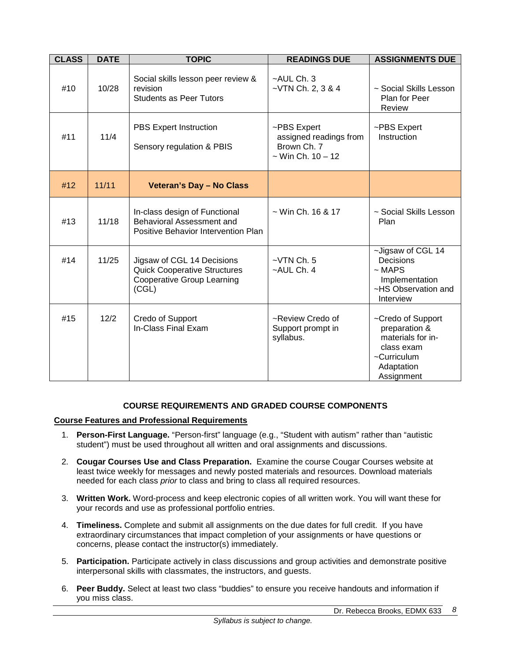| <b>CLASS</b> | <b>DATE</b> | <b>TOPIC</b>                                                                                                    | <b>READINGS DUE</b>                                                            | <b>ASSIGNMENTS DUE</b>                                                                                           |
|--------------|-------------|-----------------------------------------------------------------------------------------------------------------|--------------------------------------------------------------------------------|------------------------------------------------------------------------------------------------------------------|
| #10          | 10/28       | Social skills lesson peer review &<br>revision<br><b>Students as Peer Tutors</b>                                | ~AUL Ch. 3<br>$-VTN$ Ch. 2, 3 & 4                                              | ~ Social Skills Lesson<br>Plan for Peer<br>Review                                                                |
| #11          | 11/4        | <b>PBS Expert Instruction</b><br>Sensory regulation & PBIS                                                      | ~PBS Expert<br>assigned readings from<br>Brown Ch. 7<br>$\sim$ Win Ch. 10 - 12 | ~PBS Expert<br>Instruction                                                                                       |
| #12          | 11/11       | <b>Veteran's Day - No Class</b>                                                                                 |                                                                                |                                                                                                                  |
| #13          | 11/18       | In-class design of Functional<br>Behavioral Assessment and<br>Positive Behavior Intervention Plan               | $\sim$ Win Ch. 16 & 17                                                         | ~ Social Skills Lesson<br>Plan                                                                                   |
| #14          | 11/25       | Jigsaw of CGL 14 Decisions<br><b>Quick Cooperative Structures</b><br><b>Cooperative Group Learning</b><br>(CGL) | $-VTN$ Ch. $5$<br>~AUL Ch. 4                                                   | ~Jigsaw of CGL 14<br>Decisions<br>$~\sim$ MAPS<br>Implementation<br>~HS Observation and<br>Interview             |
| #15          | 12/2        | Credo of Support<br>In-Class Final Exam                                                                         | ~Review Credo of<br>Support prompt in<br>syllabus.                             | ~Credo of Support<br>preparation &<br>materials for in-<br>class exam<br>~Curriculum<br>Adaptation<br>Assignment |

## **COURSE REQUIREMENTS AND GRADED COURSE COMPONENTS**

## **Course Features and Professional Requirements**

- 1. **Person-First Language.** "Person-first" language (e.g., "Student with autism" rather than "autistic student") must be used throughout all written and oral assignments and discussions.
- 2. **Cougar Courses Use and Class Preparation.** Examine the course Cougar Courses website at least twice weekly for messages and newly posted materials and resources. Download materials needed for each class *prior* to class and bring to class all required resources.
- 3. **Written Work.** Word-process and keep electronic copies of all written work. You will want these for your records and use as professional portfolio entries.
- 4. **Timeliness.** Complete and submit all assignments on the due dates for full credit. If you have extraordinary circumstances that impact completion of your assignments or have questions or concerns, please contact the instructor(s) immediately.
- 5. **Participation.** Participate actively in class discussions and group activities and demonstrate positive interpersonal skills with classmates, the instructors, and guests.
- 6. **Peer Buddy.** Select at least two class "buddies" to ensure you receive handouts and information if you miss class.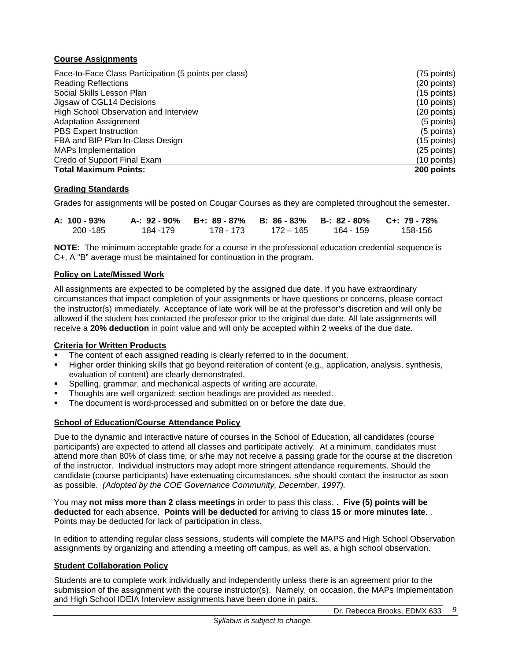# **Course Assignments**

| Face-to-Face Class Participation (5 points per class) | (75 points)   |
|-------------------------------------------------------|---------------|
| <b>Reading Reflections</b>                            | (20 points)   |
| Social Skills Lesson Plan                             | $(15$ points) |
| Jigsaw of CGL14 Decisions                             | $(10$ points) |
| High School Observation and Interview                 | (20 points)   |
| <b>Adaptation Assignment</b>                          | (5 points)    |
| <b>PBS Expert Instruction</b>                         | (5 points)    |
| FBA and BIP Plan In-Class Design                      | $(15$ points) |
| <b>MAPs Implementation</b>                            | (25 points)   |
| Credo of Support Final Exam                           | (10 points)   |
| <b>Total Maximum Points:</b>                          | 200 points    |

# **Grading Standards**

Grades for assignments will be posted on Cougar Courses as they are completed throughout the semester.

| A: 100 - 93% |          | A-: 92 - 90% B+: 89 - 87% B: 86 - 83% B-: 82 - 80% C+: 79 - 78% |             |             |         |
|--------------|----------|-----------------------------------------------------------------|-------------|-------------|---------|
| 200 - 185    | 184 -179 | 178 - 173                                                       | - 172 – 165 | - 164 - 159 | 158-156 |

**NOTE:** The minimum acceptable grade for a course in the professional education credential sequence is C+. A "B" average must be maintained for continuation in the program.

## **Policy on Late/Missed Work**

All assignments are expected to be completed by the assigned due date. If you have extraordinary circumstances that impact completion of your assignments or have questions or concerns, please contact the instructor(s) immediately. Acceptance of late work will be at the professor's discretion and will only be allowed if the student has contacted the professor prior to the original due date. All late assignments will receive a **20% deduction** in point value and will only be accepted within 2 weeks of the due date.

## **Criteria for Written Products**

- The content of each assigned reading is clearly referred to in the document.
- Higher order thinking skills that go beyond reiteration of content (e.g., application, analysis, synthesis, evaluation of content) are clearly demonstrated.
- Spelling, grammar, and mechanical aspects of writing are accurate.
- Thoughts are well organized; section headings are provided as needed.
- The document is word-processed and submitted on or before the date due.

## **School of Education/Course Attendance Policy**

Due to the dynamic and interactive nature of courses in the School of Education, all candidates (course participants) are expected to attend all classes and participate actively. At a minimum, candidates must attend more than 80% of class time, or s/he may not receive a passing grade for the course at the discretion of the instructor. Individual instructors may adopt more stringent attendance requirements. Should the candidate (course participants) have extenuating circumstances, s/he should contact the instructor as soon as possible. *(Adopted by the COE Governance Community, December, 1997).*

You may **not miss more than 2 class meetings** in order to pass this class. . **Five (5) points will be deducted** for each absence. **Points will be deducted** for arriving to class **15 or more minutes late**. . Points may be deducted for lack of participation in class.

In edition to attending regular class sessions, students will complete the MAPS and High School Observation assignments by organizing and attending a meeting off campus, as well as, a high school observation.

## **Student Collaboration Policy**

Students are to complete work individually and independently unless there is an agreement prior to the submission of the assignment with the course instructor(s). Namely, on occasion, the MAPs Implementation and High School IDEIA Interview assignments have been done in pairs.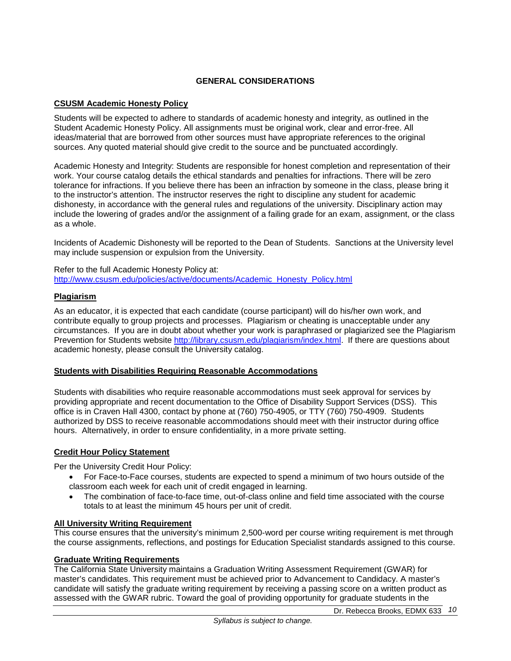# **GENERAL CONSIDERATIONS**

# **CSUSM Academic Honesty Policy**

Students will be expected to adhere to standards of academic honesty and integrity, as outlined in the Student Academic Honesty Policy. All assignments must be original work, clear and error-free. All ideas/material that are borrowed from other sources must have appropriate references to the original sources. Any quoted material should give credit to the source and be punctuated accordingly.

Academic Honesty and Integrity: Students are responsible for honest completion and representation of their work. Your course catalog details the ethical standards and penalties for infractions. There will be zero tolerance for infractions. If you believe there has been an infraction by someone in the class, please bring it to the instructor's attention. The instructor reserves the right to discipline any student for academic dishonesty, in accordance with the general rules and regulations of the university. Disciplinary action may include the lowering of grades and/or the assignment of a failing grade for an exam, assignment, or the class as a whole.

Incidents of Academic Dishonesty will be reported to the Dean of Students. Sanctions at the University level may include suspension or expulsion from the University.

Refer to the full Academic Honesty Policy at: [http://www.csusm.edu/policies/active/documents/Academic\\_Honesty\\_Policy.html](http://www.csusm.edu/policies/active/documents/Academic_Honesty_Policy.html)

## **Plagiarism**

As an educator, it is expected that each candidate (course participant) will do his/her own work, and contribute equally to group projects and processes. Plagiarism or cheating is unacceptable under any circumstances. If you are in doubt about whether your work is paraphrased or plagiarized see the Plagiarism Prevention for Students website [http://library.csusm.edu/plagiarism/index.html.](http://library.csusm.edu/plagiarism/index.html) If there are questions about academic honesty, please consult the University catalog.

## **Students with Disabilities Requiring Reasonable Accommodations**

Students with disabilities who require reasonable accommodations must seek approval for services by providing appropriate and recent documentation to the Office of Disability Support Services (DSS). This office is in Craven Hall 4300, contact by phone at (760) 750-4905, or TTY (760) 750-4909. Students authorized by DSS to receive reasonable accommodations should meet with their instructor during office hours. Alternatively, in order to ensure confidentiality, in a more private setting.

## **Credit Hour Policy Statement**

Per the University Credit Hour Policy:

- For Face-to-Face courses, students are expected to spend a minimum of two hours outside of the classroom each week for each unit of credit engaged in learning.
- The combination of face-to-face time, out-of-class online and field time associated with the course totals to at least the minimum 45 hours per unit of credit.

## **All University Writing Requirement**

This course ensures that the university's minimum 2,500-word per course writing requirement is met through the course assignments, reflections, and postings for Education Specialist standards assigned to this course.

## **Graduate Writing Requirements**

The California State University maintains a Graduation Writing Assessment Requirement (GWAR) for master's candidates. This requirement must be achieved prior to Advancement to Candidacy. A master's candidate will satisfy the graduate writing requirement by receiving a passing score on a written product as assessed with the GWAR rubric. Toward the goal of providing opportunity for graduate students in the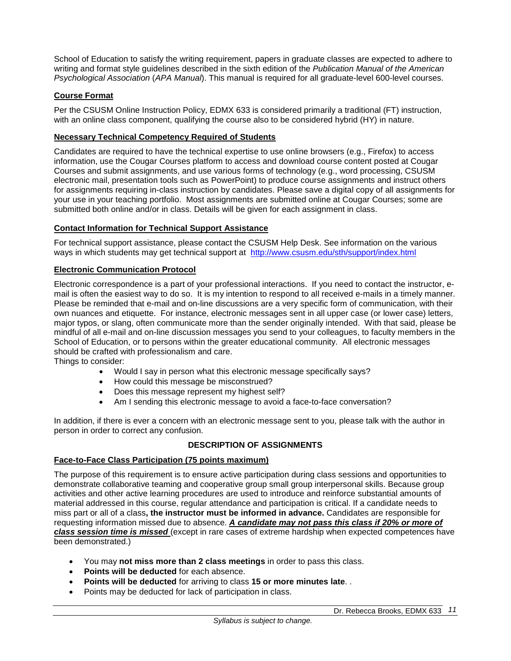School of Education to satisfy the writing requirement, papers in graduate classes are expected to adhere to writing and format style guidelines described in the sixth edition of the *Publication Manual of the American Psychological Association* (*APA Manual*). This manual is required for all graduate-level 600-level courses.

# **Course Format**

Per the CSUSM Online Instruction Policy, EDMX 633 is considered primarily a traditional (FT) instruction, with an online class component, qualifying the course also to be considered hybrid (HY) in nature.

## **Necessary Technical Competency Required of Students**

Candidates are required to have the technical expertise to use online browsers (e.g., Firefox) to access information, use the Cougar Courses platform to access and download course content posted at Cougar Courses and submit assignments, and use various forms of technology (e.g., word processing, CSUSM electronic mail, presentation tools such as PowerPoint) to produce course assignments and instruct others for assignments requiring in-class instruction by candidates. Please save a digital copy of all assignments for your use in your teaching portfolio. Most assignments are submitted online at Cougar Courses; some are submitted both online and/or in class. Details will be given for each assignment in class.

## **Contact Information for Technical Support Assistance**

For technical support assistance, please contact the CSUSM Help Desk. See information on the various ways in which students may get technical support at <http://www.csusm.edu/sth/support/index.html>

## **Electronic Communication Protocol**

Electronic correspondence is a part of your professional interactions. If you need to contact the instructor, email is often the easiest way to do so. It is my intention to respond to all received e-mails in a timely manner. Please be reminded that e-mail and on-line discussions are a very specific form of communication, with their own nuances and etiquette. For instance, electronic messages sent in all upper case (or lower case) letters, major typos, or slang, often communicate more than the sender originally intended. With that said, please be mindful of all e-mail and on-line discussion messages you send to your colleagues, to faculty members in the School of Education, or to persons within the greater educational community. All electronic messages should be crafted with professionalism and care.

Things to consider:

- Would I say in person what this electronic message specifically says?
- How could this message be misconstrued?
- Does this message represent my highest self?
- Am I sending this electronic message to avoid a face-to-face conversation?

In addition, if there is ever a concern with an electronic message sent to you, please talk with the author in person in order to correct any confusion.

## **DESCRIPTION OF ASSIGNMENTS**

## **Face-to-Face Class Participation (75 points maximum)**

The purpose of this requirement is to ensure active participation during class sessions and opportunities to demonstrate collaborative teaming and cooperative group small group interpersonal skills. Because group activities and other active learning procedures are used to introduce and reinforce substantial amounts of material addressed in this course, regular attendance and participation is critical. If a candidate needs to miss part or all of a class**, the instructor must be informed in advance.** Candidates are responsible for requesting information missed due to absence. *A candidate may not pass this class if 20% or more of class session time is missed* (except in rare cases of extreme hardship when expected competences have been demonstrated.)

- You may **not miss more than 2 class meetings** in order to pass this class.
- **Points will be deducted** for each absence.
- **Points will be deducted** for arriving to class **15 or more minutes late**. .
- Points may be deducted for lack of participation in class.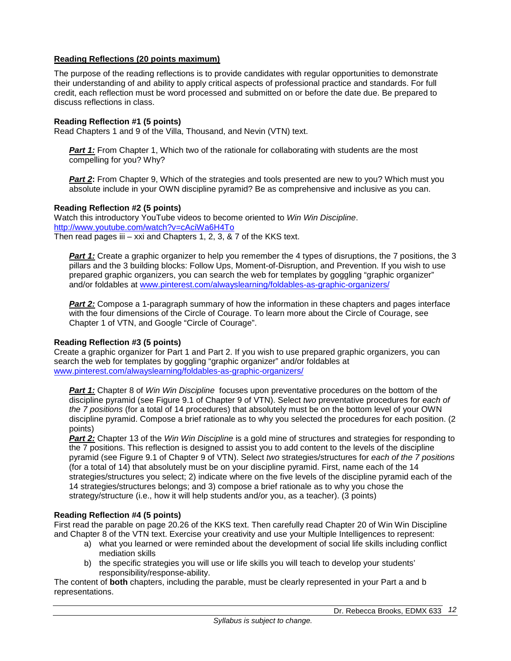## **Reading Reflections (20 points maximum)**

The purpose of the reading reflections is to provide candidates with regular opportunities to demonstrate their understanding of and ability to apply critical aspects of professional practice and standards. For full credit, each reflection must be word processed and submitted on or before the date due. Be prepared to discuss reflections in class.

## **Reading Reflection #1 (5 points)**

Read Chapters 1 and 9 of the Villa, Thousand, and Nevin (VTN) text.

**Part 1:** From Chapter 1, Which two of the rationale for collaborating with students are the most compelling for you? Why?

**Part 2:** From Chapter 9, Which of the strategies and tools presented are new to you? Which must you absolute include in your OWN discipline pyramid? Be as comprehensive and inclusive as you can.

## **Reading Reflection #2 (5 points)**

Watch this introductory YouTube videos to become oriented to *Win Win Discipline*. <http://www.youtube.com/watch?v=cAciWa6H4To> Then read pages iii  $-$  xxi and Chapters 1, 2, 3,  $\&$  7 of the KKS text.

**Part 1:** Create a graphic organizer to help you remember the 4 types of disruptions, the 7 positions, the 3 pillars and the 3 building blocks: Follow Ups, Moment-of-Disruption, and Prevention. If you wish to use prepared graphic organizers, you can search the web for templates by goggling "graphic organizer" and/or foldables at [www.pinterest.com/alwayslearning/foldables-as-graphic-organizers/](https://www.pinterest.com/alwayslearning/foldables-as-graphic-organizers/)

**Part 2:** Compose a 1-paragraph summary of how the information in these chapters and pages interface with the four dimensions of the Circle of Courage. To learn more about the Circle of Courage, see Chapter 1 of VTN, and Google "Circle of Courage".

## **Reading Reflection #3 (5 points)**

Create a graphic organizer for Part 1 and Part 2. If you wish to use prepared graphic organizers, you can search the web for templates by goggling "graphic organizer" and/or foldables at [www.pinterest.com/alwayslearning/foldables-as-graphic-organizers/](https://www.pinterest.com/alwayslearning/foldables-as-graphic-organizers/)

*Part 1:* Chapter 8 of *Win Win Discipline* focuses upon preventative procedures on the bottom of the discipline pyramid (see Figure 9.1 of Chapter 9 of VTN). Select *two* preventative procedures for *each of the 7 positions* (for a total of 14 procedures) that absolutely must be on the bottom level of your OWN discipline pyramid. Compose a brief rationale as to why you selected the procedures for each position. (2 points)

*Part 2:* Chapter 13 of the *Win Win Discipline* is a gold mine of structures and strategies for responding to the 7 positions. This reflection is designed to assist you to add content to the levels of the discipline pyramid (see Figure 9.1 of Chapter 9 of VTN). Select *two* strategies/structures for *each of the 7 positions* (for a total of 14) that absolutely must be on your discipline pyramid. First, name each of the 14 strategies/structures you select; 2) indicate where on the five levels of the discipline pyramid each of the 14 strategies/structures belongs; and 3) compose a brief rationale as to why you chose the strategy/structure (i.e., how it will help students and/or you, as a teacher). (3 points)

## **Reading Reflection #4 (5 points)**

First read the parable on page 20.26 of the KKS text. Then carefully read Chapter 20 of Win Win Discipline and Chapter 8 of the VTN text. Exercise your creativity and use your Multiple Intelligences to represent:

- a) what you learned or were reminded about the development of social life skills including conflict mediation skills
- b) the specific strategies you will use or life skills you will teach to develop your students' responsibility/response-ability.

The content of **both** chapters, including the parable, must be clearly represented in your Part a and b representations.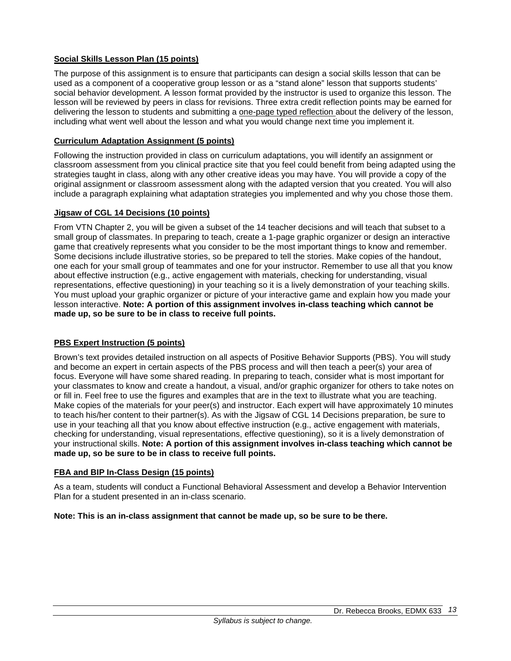# **Social Skills Lesson Plan (15 points)**

The purpose of this assignment is to ensure that participants can design a social skills lesson that can be used as a component of a cooperative group lesson or as a "stand alone" lesson that supports students' social behavior development. A lesson format provided by the instructor is used to organize this lesson. The lesson will be reviewed by peers in class for revisions. Three extra credit reflection points may be earned for delivering the lesson to students and submitting a one-page typed reflection about the delivery of the lesson, including what went well about the lesson and what you would change next time you implement it.

## **Curriculum Adaptation Assignment (5 points)**

Following the instruction provided in class on curriculum adaptations, you will identify an assignment or classroom assessment from you clinical practice site that you feel could benefit from being adapted using the strategies taught in class, along with any other creative ideas you may have. You will provide a copy of the original assignment or classroom assessment along with the adapted version that you created. You will also include a paragraph explaining what adaptation strategies you implemented and why you chose those them.

## **Jigsaw of CGL 14 Decisions (10 points)**

From VTN Chapter 2, you will be given a subset of the 14 teacher decisions and will teach that subset to a small group of classmates. In preparing to teach, create a 1-page graphic organizer or design an interactive game that creatively represents what you consider to be the most important things to know and remember. Some decisions include illustrative stories, so be prepared to tell the stories. Make copies of the handout, one each for your small group of teammates and one for your instructor. Remember to use all that you know about effective instruction (e.g., active engagement with materials, checking for understanding, visual representations, effective questioning) in your teaching so it is a lively demonstration of your teaching skills. You must upload your graphic organizer or picture of your interactive game and explain how you made your lesson interactive. **Note: A portion of this assignment involves in-class teaching which cannot be made up, so be sure to be in class to receive full points.**

# **PBS Expert Instruction (5 points)**

Brown's text provides detailed instruction on all aspects of Positive Behavior Supports (PBS). You will study and become an expert in certain aspects of the PBS process and will then teach a peer(s) your area of focus. Everyone will have some shared reading. In preparing to teach, consider what is most important for your classmates to know and create a handout, a visual, and/or graphic organizer for others to take notes on or fill in. Feel free to use the figures and examples that are in the text to illustrate what you are teaching. Make copies of the materials for your peer(s) and instructor. Each expert will have approximately 10 minutes to teach his/her content to their partner(s). As with the Jigsaw of CGL 14 Decisions preparation, be sure to use in your teaching all that you know about effective instruction (e.g., active engagement with materials, checking for understanding, visual representations, effective questioning), so it is a lively demonstration of your instructional skills. **Note: A portion of this assignment involves in-class teaching which cannot be made up, so be sure to be in class to receive full points.**

## **FBA and BIP In-Class Design (15 points)**

As a team, students will conduct a Functional Behavioral Assessment and develop a Behavior Intervention Plan for a student presented in an in-class scenario.

## **Note: This is an in-class assignment that cannot be made up, so be sure to be there.**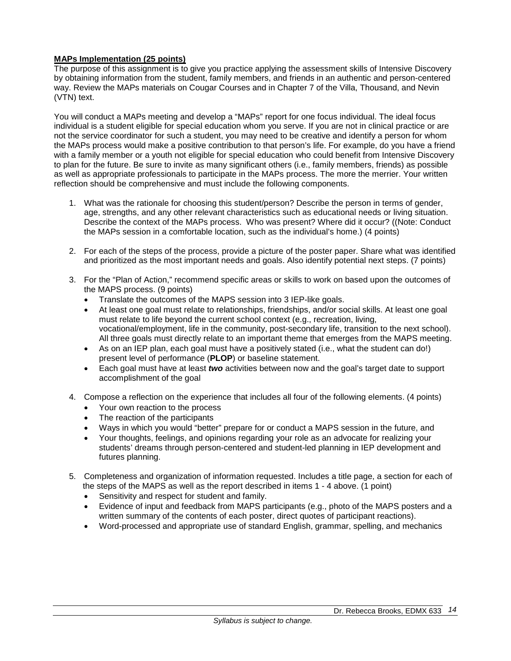# **MAPs Implementation (25 points)**

The purpose of this assignment is to give you practice applying the assessment skills of Intensive Discovery by obtaining information from the student, family members, and friends in an authentic and person-centered way. Review the MAPs materials on Cougar Courses and in Chapter 7 of the Villa, Thousand, and Nevin (VTN) text.

You will conduct a MAPs meeting and develop a "MAPs" report for one focus individual. The ideal focus individual is a student eligible for special education whom you serve. If you are not in clinical practice or are not the service coordinator for such a student, you may need to be creative and identify a person for whom the MAPs process would make a positive contribution to that person's life. For example, do you have a friend with a family member or a youth not eligible for special education who could benefit from Intensive Discovery to plan for the future. Be sure to invite as many significant others (i.e., family members, friends) as possible as well as appropriate professionals to participate in the MAPs process. The more the merrier. Your written reflection should be comprehensive and must include the following components.

- 1. What was the rationale for choosing this student/person? Describe the person in terms of gender, age, strengths, and any other relevant characteristics such as educational needs or living situation. Describe the context of the MAPs process. Who was present? Where did it occur? ((Note: Conduct the MAPs session in a comfortable location, such as the individual's home.) (4 points)
- 2. For each of the steps of the process, provide a picture of the poster paper. Share what was identified and prioritized as the most important needs and goals. Also identify potential next steps. (7 points)
- 3. For the "Plan of Action," recommend specific areas or skills to work on based upon the outcomes of the MAPS process. (9 points)
	- Translate the outcomes of the MAPS session into 3 IEP-like goals.
	- At least one goal must relate to relationships, friendships, and/or social skills. At least one goal must relate to life beyond the current school context (e.g., recreation, living, vocational/employment, life in the community, post-secondary life, transition to the next school). All three goals must directly relate to an important theme that emerges from the MAPS meeting.
	- As on an IEP plan, each goal must have a positively stated (i.e., what the student can do!) present level of performance (**PLOP**) or baseline statement.
	- Each goal must have at least *two* activities between now and the goal's target date to support accomplishment of the goal
- 4. Compose a reflection on the experience that includes all four of the following elements. (4 points)
	- Your own reaction to the process
	- The reaction of the participants
	- Ways in which you would "better" prepare for or conduct a MAPS session in the future, and
	- Your thoughts, feelings, and opinions regarding your role as an advocate for realizing your students' dreams through person-centered and student-led planning in IEP development and futures planning.
- 5. Completeness and organization of information requested. Includes a title page, a section for each of the steps of the MAPS as well as the report described in items 1 - 4 above. (1 point)
	-
	- Sensitivity and respect for student and family.<br>• Evidence of input and feedback from MAPS pr • Evidence of input and feedback from MAPS participants (e.g., photo of the MAPS posters and a written summary of the contents of each poster, direct quotes of participant reactions).
	- Word-processed and appropriate use of standard English, grammar, spelling, and mechanics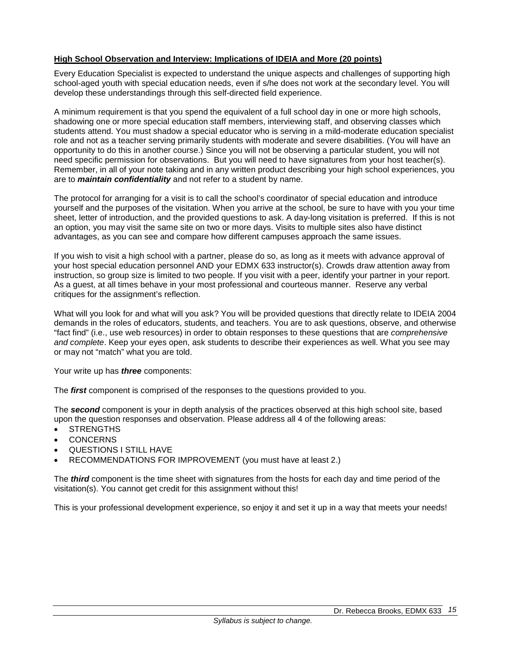## **High School Observation and Interview: Implications of IDEIA and More (20 points)**

Every Education Specialist is expected to understand the unique aspects and challenges of supporting high school-aged youth with special education needs, even if s/he does not work at the secondary level. You will develop these understandings through this self-directed field experience.

A minimum requirement is that you spend the equivalent of a full school day in one or more high schools, shadowing one or more special education staff members, interviewing staff, and observing classes which students attend. You must shadow a special educator who is serving in a mild-moderate education specialist role and not as a teacher serving primarily students with moderate and severe disabilities. (You will have an opportunity to do this in another course.) Since you will not be observing a particular student, you will not need specific permission for observations. But you will need to have signatures from your host teacher(s). Remember, in all of your note taking and in any written product describing your high school experiences, you are to *maintain confidentiality* and not refer to a student by name.

The protocol for arranging for a visit is to call the school's coordinator of special education and introduce yourself and the purposes of the visitation. When you arrive at the school, be sure to have with you your time sheet, letter of introduction, and the provided questions to ask. A day-long visitation is preferred. If this is not an option, you may visit the same site on two or more days. Visits to multiple sites also have distinct advantages, as you can see and compare how different campuses approach the same issues.

If you wish to visit a high school with a partner, please do so, as long as it meets with advance approval of your host special education personnel AND your EDMX 633 instructor(s). Crowds draw attention away from instruction, so group size is limited to two people. If you visit with a peer, identify your partner in your report. As a guest, at all times behave in your most professional and courteous manner. Reserve any verbal critiques for the assignment's reflection.

What will you look for and what will you ask? You will be provided questions that directly relate to IDEIA 2004 demands in the roles of educators, students, and teachers. You are to ask questions, observe, and otherwise "fact find" (i.e., use web resources) in order to obtain responses to these questions that are *comprehensive and complete*. Keep your eyes open, ask students to describe their experiences as well. What you see may or may not "match" what you are told.

Your write up has *three* components:

The *first* component is comprised of the responses to the questions provided to you.

The *second* component is your in depth analysis of the practices observed at this high school site, based upon the question responses and observation. Please address all 4 of the following areas:

- STRENGTHS
- CONCERNS
- QUESTIONS I STILL HAVE
- RECOMMENDATIONS FOR IMPROVEMENT (you must have at least 2.)

The *third* component is the time sheet with signatures from the hosts for each day and time period of the visitation(s). You cannot get credit for this assignment without this!

This is your professional development experience, so enjoy it and set it up in a way that meets your needs!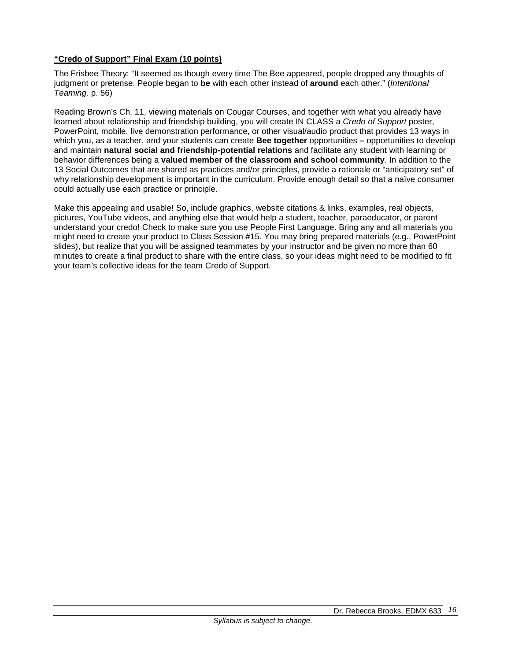# **"Credo of Support" Final Exam (10 points)**

The Frisbee Theory: "It seemed as though every time The Bee appeared, people dropped any thoughts of judgment or pretense. People began to **be** with each other instead of **around** each other." (*Intentional Teaming,* p. 56)

Reading Brown's Ch. 11, viewing materials on Cougar Courses, and together with what you already have learned about relationship and friendship building, you will create IN CLASS a *Credo of Support* poster, PowerPoint, mobile, live demonstration performance, or other visual/audio product that provides 13 ways in which you, as a teacher, and your students can create **Bee together** opportunities **–** opportunities to develop and maintain **natural social and friendship-potential relations** and facilitate any student with learning or behavior differences being a **valued member of the classroom and school community**. In addition to the 13 Social Outcomes that are shared as practices and/or principles, provide a rationale or "anticipatory set" of why relationship development is important in the curriculum. Provide enough detail so that a naïve consumer could actually use each practice or principle.

Make this appealing and usable! So, include graphics, website citations & links, examples, real objects, pictures, YouTube videos, and anything else that would help a student, teacher, paraeducator, or parent understand your credo! Check to make sure you use People First Language. Bring any and all materials you might need to create your product to Class Session #15. You may bring prepared materials (e.g., PowerPoint slides), but realize that you will be assigned teammates by your instructor and be given no more than 60 minutes to create a final product to share with the entire class, so your ideas might need to be modified to fit your team's collective ideas for the team Credo of Support.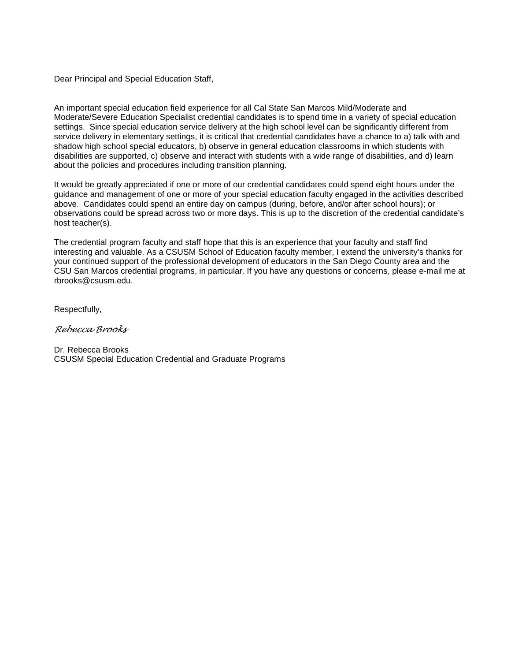Dear Principal and Special Education Staff,

An important special education field experience for all Cal State San Marcos Mild/Moderate and Moderate/Severe Education Specialist credential candidates is to spend time in a variety of special education settings. Since special education service delivery at the high school level can be significantly different from service delivery in elementary settings, it is critical that credential candidates have a chance to a) talk with and shadow high school special educators, b) observe in general education classrooms in which students with disabilities are supported, c) observe and interact with students with a wide range of disabilities, and d) learn about the policies and procedures including transition planning.

It would be greatly appreciated if one or more of our credential candidates could spend eight hours under the guidance and management of one or more of your special education faculty engaged in the activities described above. Candidates could spend an entire day on campus (during, before, and/or after school hours); or observations could be spread across two or more days. This is up to the discretion of the credential candidate's host teacher(s).

The credential program faculty and staff hope that this is an experience that your faculty and staff find interesting and valuable. As a CSUSM School of Education faculty member, I extend the university's thanks for your continued support of the professional development of educators in the San Diego County area and the CSU San Marcos credential programs, in particular. If you have any questions or concerns, please e-mail me at rbrooks@csusm.edu.

Respectfully,

*Rebecca Brooks* 

Dr. Rebecca Brooks CSUSM Special Education Credential and Graduate Programs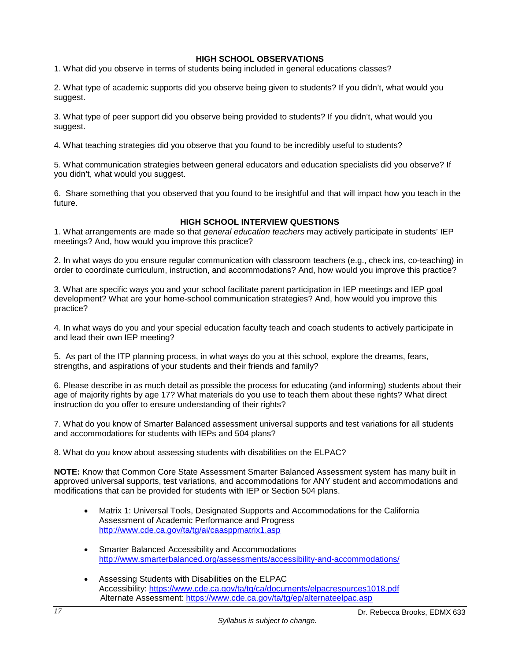# **HIGH SCHOOL OBSERVATIONS**

1. What did you observe in terms of students being included in general educations classes?

2. What type of academic supports did you observe being given to students? If you didn't, what would you suggest.

3. What type of peer support did you observe being provided to students? If you didn't, what would you suggest.

4. What teaching strategies did you observe that you found to be incredibly useful to students?

5. What communication strategies between general educators and education specialists did you observe? If you didn't, what would you suggest.

6. Share something that you observed that you found to be insightful and that will impact how you teach in the future.

## **HIGH SCHOOL INTERVIEW QUESTIONS**

1. What arrangements are made so that *general education teachers* may actively participate in students' IEP meetings? And, how would you improve this practice?

2. In what ways do you ensure regular communication with classroom teachers (e.g., check ins, co-teaching) in order to coordinate curriculum, instruction, and accommodations? And, how would you improve this practice?

3. What are specific ways you and your school facilitate parent participation in IEP meetings and IEP goal development? What are your home-school communication strategies? And, how would you improve this practice?

4. In what ways do you and your special education faculty teach and coach students to actively participate in and lead their own IEP meeting?

5. As part of the ITP planning process, in what ways do you at this school, explore the dreams, fears, strengths, and aspirations of your students and their friends and family?

6. Please describe in as much detail as possible the process for educating (and informing) students about their age of majority rights by age 17? What materials do you use to teach them about these rights? What direct instruction do you offer to ensure understanding of their rights?

7. What do you know of Smarter Balanced assessment universal supports and test variations for all students and accommodations for students with IEPs and 504 plans?

8. What do you know about assessing students with disabilities on the ELPAC?

**NOTE:** Know that Common Core State Assessment Smarter Balanced Assessment system has many built in approved universal supports, test variations, and accommodations for ANY student and accommodations and modifications that can be provided for students with IEP or Section 504 plans.

- Matrix 1: Universal Tools, Designated Supports and Accommodations for the California Assessment of Academic Performance and Progress <http://www.cde.ca.gov/ta/tg/ai/caasppmatrix1.asp>
- Smarter Balanced Accessibility and Accommodations <http://www.smarterbalanced.org/assessments/accessibility-and-accommodations/>
- Assessing Students with Disabilities on the ELPAC Accessibility:<https://www.cde.ca.gov/ta/tg/ca/documents/elpacresources1018.pdf> Alternate Assessment:<https://www.cde.ca.gov/ta/tg/ep/alternateelpac.asp>